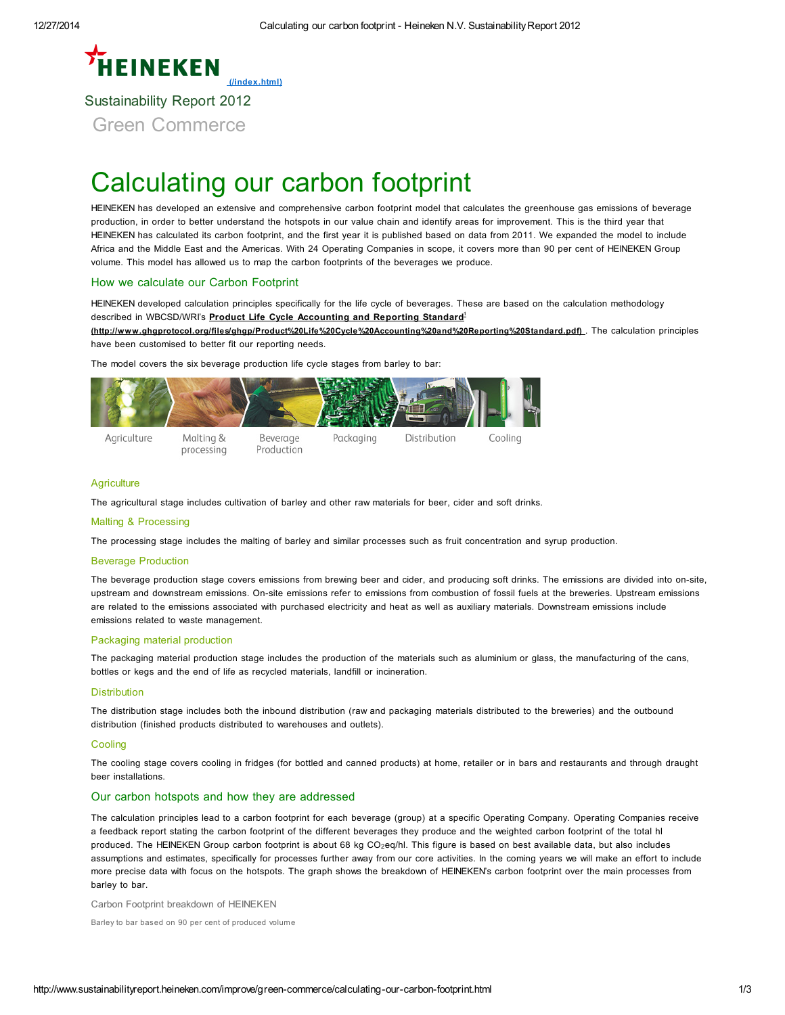# **EINEKEN** [\(/index.html\)](http://www.sustainabilityreport.heineken.com/index.html) Sustainability Report 2012 Green Commerce

# Calculating our carbon footprint

HEINEKEN has developed an extensive and comprehensive carbon footprint model that calculates the greenhouse gas emissions of beverage production, in order to better understand the hotspots in our value chain and identify areas for improvement. This is the third year that HEINEKEN has calculated its carbon footprint, and the first year it is published based on data from 2011. We expanded the model to include Africa and the Middle East and the Americas. With 24 Operating Companies in scope, it covers more than 90 per cent of HEINEKEN Group volume. This model has allowed us to map the carbon footprints of the beverages we produce.

# How we calculate our Carbon Footprint

HEINEKEN developed calculation principles specifically for the life cycle of beverages. These are based on the calculation methodology described in WBCSD/WRI's **Product Life Cycle Accounting and Reporting Standard**<sup>1</sup>

[\(http://www.ghgprotocol.org/files/ghgp/Product%20Life%20Cycle%20Accounting%20and%20Reporting%20Standard.pdf\)](http://www.ghgprotocol.org/files/ghgp/Product%20Life%20Cycle%20Accounting%20and%20Reporting%20Standard.pdf). The calculation principles have been customised to better fit our reporting needs.

The model covers the six beverage production life cycle stages from barley to bar:



## **Agriculture**

The agricultural stage includes cultivation of barley and other raw materials for beer, cider and soft drinks.

#### Malting & Processing

The processing stage includes the malting of barley and similar processes such as fruit concentration and syrup production.

#### Beverage Production

The beverage production stage covers emissions from brewing beer and cider, and producing soft drinks. The emissions are divided into on-site, upstream and downstream emissions. On-site emissions refer to emissions from combustion of fossil fuels at the breweries. Upstream emissions are related to the emissions associated with purchased electricity and heat as well as auxiliary materials. Downstream emissions include emissions related to waste management.

## Packaging material production

The packaging material production stage includes the production of the materials such as aluminium or glass, the manufacturing of the cans, bottles or kegs and the end of life as recycled materials, landfill or incineration.

#### **Distribution**

The distribution stage includes both the inbound distribution (raw and packaging materials distributed to the breweries) and the outbound distribution (finished products distributed to warehouses and outlets).

#### **Cooling**

The cooling stage covers cooling in fridges (for bottled and canned products) at home, retailer or in bars and restaurants and through draught beer installations.

# Our carbon hotspots and how they are addressed

The calculation principles lead to a carbon footprint for each beverage (group) at a specific Operating Company. Operating Companies receive a feedback report stating the carbon footprint of the different beverages they produce and the weighted carbon footprint of the total hl produced. The HEINEKEN Group carbon footprint is about 68 kg CO<sub>2</sub>eq/hl. This figure is based on best available data, but also includes assumptions and estimates, specifically for processes further away from our core activities. In the coming years we will make an effort to include more precise data with focus on the hotspots. The graph shows the breakdown of HEINEKEN's carbon footprint over the main processes from barley to bar.

Carbon Footprint breakdown of HEINEKEN

Barley to bar based on 90 per cent of produced volume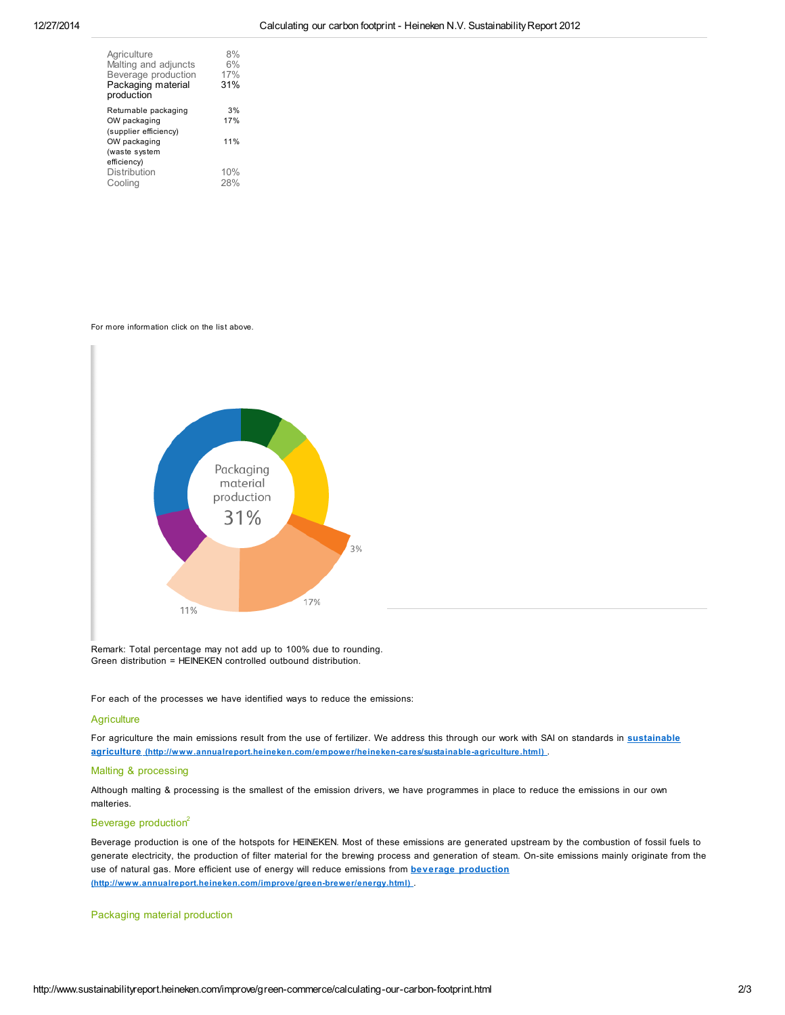| Agriculture           | 8%  |
|-----------------------|-----|
| Malting and adjuncts  | 6%  |
| Beverage production   | 17% |
| Packaging material    | 31% |
| production            |     |
| Returnable packaging  | 3%  |
| OW packaging          | 17% |
| (supplier efficiency) |     |
| OW packaging          | 11% |
| (waste system         |     |
| efficiency)           |     |
| Distribution          | 10% |
| Cooling               | 28% |

For more information click on the list above.



Remark: Total percentage may not add up to 100% due to rounding. Green distribution = HEINEKEN controlled outbound distribution.

For each of the processes we have identified ways to reduce the emissions:

#### **Agriculture**

For agriculture the main emissions result from the use of fertilizer. We address this through our work with SAI on standards in **sustainable** . agriculture [\(http://www.annualreport.heineken.com/empower/heineken-cares/sustainable-agriculture.html\)](http://www.sustainabilityreport.heineken.com/empower/heineken-cares/sustainable-agriculture.html)

#### Malting & processing

Although malting & processing is the smallest of the emission drivers, we have programmes in place to reduce the emissions in our own malteries.

# Beverage production<sup>2</sup>

Beverage production is one of the hotspots for HEINEKEN. Most of these emissions are generated upstream by the combustion of fossil fuels to generate electricity, the production of filter material for the brewing process and generation of steam. On-site emissions mainly originate from the use of natural gas. More efficient use of energy will reduce emissions from **beverage production** . [\(http://www.annualreport.heineken.com/improve/green-brewer/energy.html\)](http://www.sustainabilityreport.heineken.com/improve/green-brewer/energy.html)

# Packaging material production